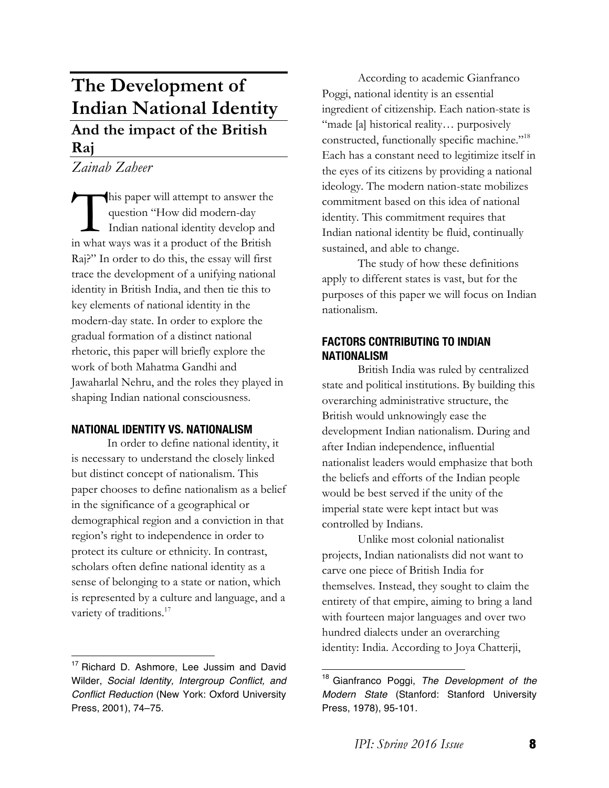# **The Development of Indian National Identity And the impact of the British Raj**

*Zainab Zaheer*

his paper will attempt to answer the question "How did modern-day Indian national identity develop and This paper will attempt to answer the question "How did modern-day Indian national identity develop and in what ways was it a product of the British Raj?" In order to do this, the essay will first trace the development of a unifying national identity in British India, and then tie this to key elements of national identity in the modern-day state. In order to explore the gradual formation of a distinct national rhetoric, this paper will briefly explore the work of both Mahatma Gandhi and Jawaharlal Nehru, and the roles they played in shaping Indian national consciousness.

# **NATIONAL IDENTITY VS. NATIONALISM**

In order to define national identity, it is necessary to understand the closely linked but distinct concept of nationalism. This paper chooses to define nationalism as a belief in the significance of a geographical or demographical region and a conviction in that region's right to independence in order to protect its culture or ethnicity. In contrast, scholars often define national identity as a sense of belonging to a state or nation, which is represented by a culture and language, and a variety of traditions.<sup>17</sup>

According to academic Gianfranco Poggi, national identity is an essential ingredient of citizenship. Each nation-state is "made [a] historical reality… purposively constructed, functionally specific machine."18 Each has a constant need to legitimize itself in the eyes of its citizens by providing a national ideology. The modern nation-state mobilizes commitment based on this idea of national identity. This commitment requires that Indian national identity be fluid, continually sustained, and able to change.

The study of how these definitions apply to different states is vast, but for the purposes of this paper we will focus on Indian nationalism.

## **FACTORS CONTRIBUTING TO INDIAN NATIONALISM**

British India was ruled by centralized state and political institutions. By building this overarching administrative structure, the British would unknowingly ease the development Indian nationalism. During and after Indian independence, influential nationalist leaders would emphasize that both the beliefs and efforts of the Indian people would be best served if the unity of the imperial state were kept intact but was controlled by Indians.

Unlike most colonial nationalist projects, Indian nationalists did not want to carve one piece of British India for themselves. Instead, they sought to claim the entirety of that empire, aiming to bring a land with fourteen major languages and over two hundred dialects under an overarching identity: India. According to Joya Chatterji,

<sup>&</sup>lt;sup>17</sup> Richard D. Ashmore, Lee Jussim and David Wilder, *Social Identity, Intergroup Conflict, and Conflict Reduction* (New York: Oxford University Press, 2001), 74–75.

 <sup>18</sup> Gianfranco Poggi, *The Development of the Modern State* (Stanford: Stanford University Press, 1978), 95-101.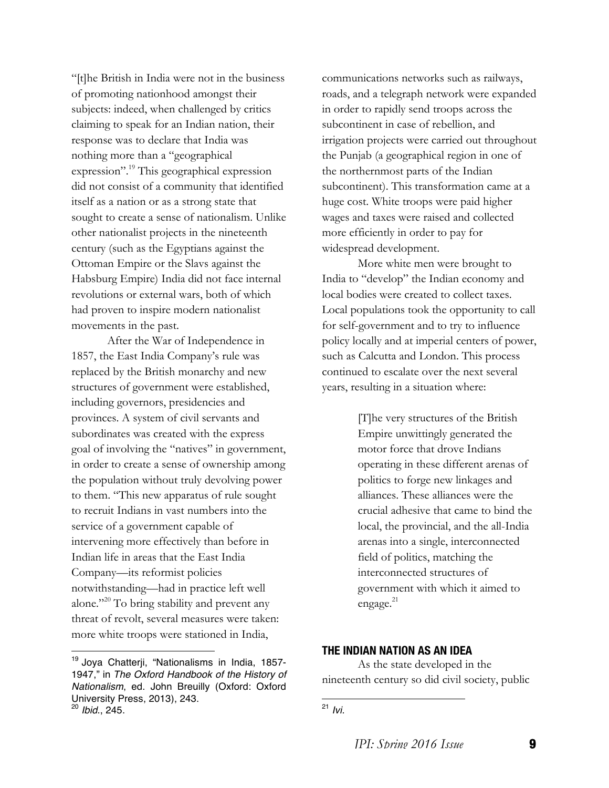"[t]he British in India were not in the business of promoting nationhood amongst their subjects: indeed, when challenged by critics claiming to speak for an Indian nation, their response was to declare that India was nothing more than a "geographical expression".<sup>19</sup> This geographical expression did not consist of a community that identified itself as a nation or as a strong state that sought to create a sense of nationalism. Unlike other nationalist projects in the nineteenth century (such as the Egyptians against the Ottoman Empire or the Slavs against the Habsburg Empire) India did not face internal revolutions or external wars, both of which had proven to inspire modern nationalist movements in the past.

After the War of Independence in 1857, the East India Company's rule was replaced by the British monarchy and new structures of government were established, including governors, presidencies and provinces. A system of civil servants and subordinates was created with the express goal of involving the "natives" in government, in order to create a sense of ownership among the population without truly devolving power to them. "This new apparatus of rule sought to recruit Indians in vast numbers into the service of a government capable of intervening more effectively than before in Indian life in areas that the East India Company—its reformist policies notwithstanding—had in practice left well alone."20 To bring stability and prevent any threat of revolt, several measures were taken: more white troops were stationed in India,

 

More white men were brought to India to "develop" the Indian economy and local bodies were created to collect taxes. Local populations took the opportunity to call for self-government and to try to influence policy locally and at imperial centers of power, such as Calcutta and London. This process continued to escalate over the next several years, resulting in a situation where:

> [T]he very structures of the British Empire unwittingly generated the motor force that drove Indians operating in these different arenas of politics to forge new linkages and alliances. These alliances were the crucial adhesive that came to bind the local, the provincial, and the all-India arenas into a single, interconnected field of politics, matching the interconnected structures of government with which it aimed to engage.<sup>21</sup>

## **THE INDIAN NATION AS AN IDEA**

 

As the state developed in the nineteenth century so did civil society, public

<sup>19</sup> Joya Chatterji, "Nationalisms in India, 1857- 1947," in *The Oxford Handbook of the History of Nationalism*, ed. John Breuilly (Oxford: Oxford University Press, 2013), 243. <sup>20</sup> *Ibid*., 245.

communications networks such as railways, roads, and a telegraph network were expanded in order to rapidly send troops across the subcontinent in case of rebellion, and irrigation projects were carried out throughout the Punjab (a geographical region in one of the northernmost parts of the Indian subcontinent). This transformation came at a huge cost. White troops were paid higher wages and taxes were raised and collected more efficiently in order to pay for widespread development.

<sup>21</sup> *Ivi.*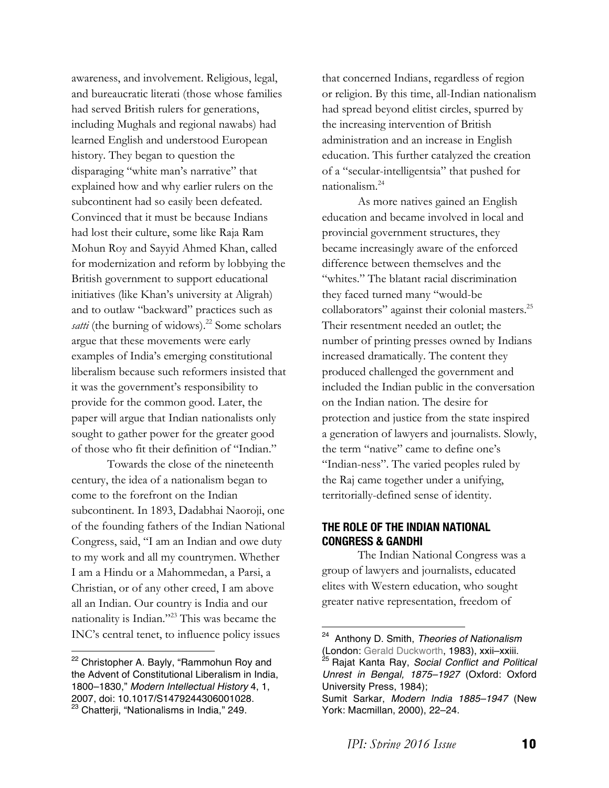awareness, and involvement. Religious, legal, and bureaucratic literati (those whose families had served British rulers for generations, including Mughals and regional nawabs) had learned English and understood European history. They began to question the disparaging "white man's narrative" that explained how and why earlier rulers on the subcontinent had so easily been defeated. Convinced that it must be because Indians had lost their culture, some like Raja Ram Mohun Roy and Sayyid Ahmed Khan, called for modernization and reform by lobbying the British government to support educational initiatives (like Khan's university at Aligrah) and to outlaw "backward" practices such as *satti* (the burning of widows).<sup>22</sup> Some scholars argue that these movements were early examples of India's emerging constitutional liberalism because such reformers insisted that it was the government's responsibility to provide for the common good. Later, the paper will argue that Indian nationalists only sought to gather power for the greater good of those who fit their definition of "Indian."

Towards the close of the nineteenth century, the idea of a nationalism began to come to the forefront on the Indian subcontinent. In 1893, Dadabhai Naoroji, one of the founding fathers of the Indian National Congress, said, "I am an Indian and owe duty to my work and all my countrymen. Whether I am a Hindu or a Mahommedan, a Parsi, a Christian, or of any other creed, I am above all an Indian. Our country is India and our nationality is Indian."23 This was became the INC's central tenet, to influence policy issues

 

that concerned Indians, regardless of region or religion. By this time, all-Indian nationalism had spread beyond elitist circles, spurred by the increasing intervention of British administration and an increase in English education. This further catalyzed the creation of a "secular-intelligentsia" that pushed for nationalism.24

As more natives gained an English education and became involved in local and provincial government structures, they became increasingly aware of the enforced difference between themselves and the "whites." The blatant racial discrimination they faced turned many "would-be collaborators" against their colonial masters.<sup>25</sup> Their resentment needed an outlet; the number of printing presses owned by Indians increased dramatically. The content they produced challenged the government and included the Indian public in the conversation on the Indian nation. The desire for protection and justice from the state inspired a generation of lawyers and journalists. Slowly, the term "native" came to define one's "Indian-ness". The varied peoples ruled by the Raj came together under a unifying, territorially-defined sense of identity.

# **THE ROLE OF THE INDIAN NATIONAL CONGRESS & GANDHI**

 

The Indian National Congress was a group of lawyers and journalists, educated elites with Western education, who sought greater native representation, freedom of

<sup>&</sup>lt;sup>22</sup> Christopher A. Bayly, "Rammohun Roy and the Advent of Constitutional Liberalism in India, 1800–1830," *Modern Intellectual History* 4, 1, 2007, doi: 10.1017/S1479244306001028. <sup>23</sup> Chatterji, "Nationalisms in India," 249.

<sup>24</sup> Anthony D. Smith, *Theories of Nationalism* (London: Gerald Duckworth, 1983), xxii–xxiii.<br><sup>25</sup> Rajat Kanta Ray, *Social Conflict and Political Unrest in Bengal, 1875–1927* (Oxford: Oxford University Press, 1984);

Sumit Sarkar, *Modern India 1885–1947* (New York: Macmillan, 2000), 22–24.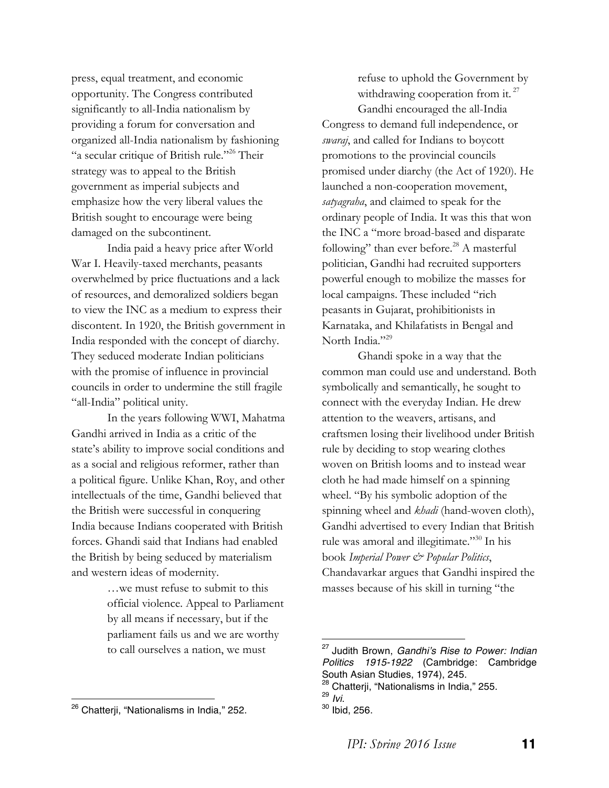press, equal treatment, and economic opportunity. The Congress contributed significantly to all-India nationalism by providing a forum for conversation and organized all-India nationalism by fashioning "a secular critique of British rule."26 Their strategy was to appeal to the British government as imperial subjects and emphasize how the very liberal values the British sought to encourage were being damaged on the subcontinent.

India paid a heavy price after World War I. Heavily-taxed merchants, peasants overwhelmed by price fluctuations and a lack of resources, and demoralized soldiers began to view the INC as a medium to express their discontent. In 1920, the British government in India responded with the concept of diarchy. They seduced moderate Indian politicians with the promise of influence in provincial councils in order to undermine the still fragile "all-India" political unity.

In the years following WWI, Mahatma Gandhi arrived in India as a critic of the state's ability to improve social conditions and as a social and religious reformer, rather than a political figure. Unlike Khan, Roy, and other intellectuals of the time, Gandhi believed that the British were successful in conquering India because Indians cooperated with British forces. Ghandi said that Indians had enabled the British by being seduced by materialism and western ideas of modernity.

> …we must refuse to submit to this official violence. Appeal to Parliament by all means if necessary, but if the parliament fails us and we are worthy to call ourselves a nation, we must

 

refuse to uphold the Government by withdrawing cooperation from it. $^{27}$ Gandhi encouraged the all-India Congress to demand full independence, or *swaraj*, and called for Indians to boycott promotions to the provincial councils promised under diarchy (the Act of 1920). He launched a non-cooperation movement, *satyagraha*, and claimed to speak for the ordinary people of India. It was this that won the INC a "more broad-based and disparate following" than ever before. $^{28}$  A masterful politician, Gandhi had recruited supporters powerful enough to mobilize the masses for local campaigns. These included "rich peasants in Gujarat, prohibitionists in Karnataka, and Khilafatists in Bengal and North India."<sup>29</sup>

Ghandi spoke in a way that the common man could use and understand. Both symbolically and semantically, he sought to connect with the everyday Indian. He drew attention to the weavers, artisans, and craftsmen losing their livelihood under British rule by deciding to stop wearing clothes woven on British looms and to instead wear cloth he had made himself on a spinning wheel. "By his symbolic adoption of the spinning wheel and *khadi* (hand-woven cloth), Gandhi advertised to every Indian that British rule was amoral and illegitimate."30 In his book *Imperial Power & Popular Politics*, Chandavarkar argues that Gandhi inspired the masses because of his skill in turning "the

<sup>&</sup>lt;sup>26</sup> Chatterji, "Nationalisms in India," 252.

<sup>27</sup> Judith Brown, *Gandhi's Rise to Power: Indian Politics 1915-1922* (Cambridge: Cambridge South Asian Studies, 1974), 245.<br><sup>28</sup> Chatterji, "Nationalisms in India," 255.<br><sup>29</sup> Ivi.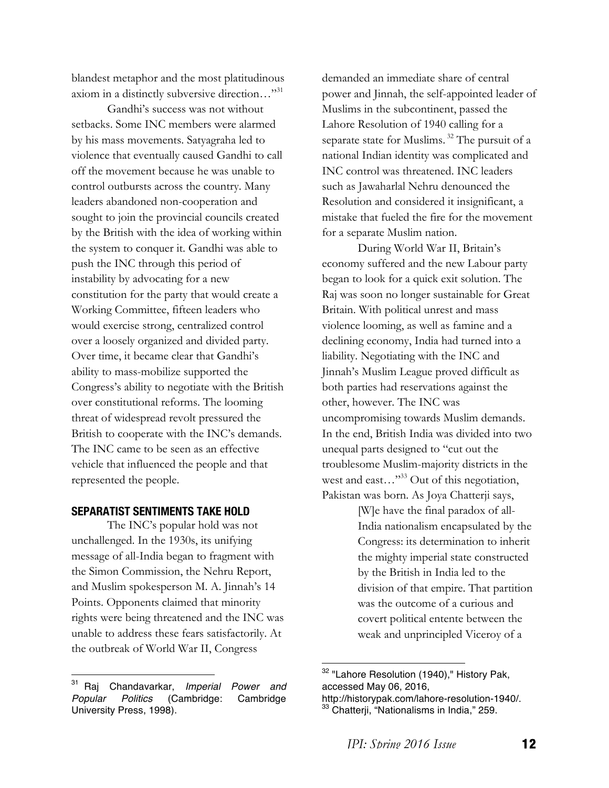blandest metaphor and the most platitudinous axiom in a distinctly subversive direction…"<sup>31</sup>

Gandhi's success was not without setbacks. Some INC members were alarmed by his mass movements. Satyagraha led to violence that eventually caused Gandhi to call off the movement because he was unable to control outbursts across the country. Many leaders abandoned non-cooperation and sought to join the provincial councils created by the British with the idea of working within the system to conquer it. Gandhi was able to push the INC through this period of instability by advocating for a new constitution for the party that would create a Working Committee, fifteen leaders who would exercise strong, centralized control over a loosely organized and divided party. Over time, it became clear that Gandhi's ability to mass-mobilize supported the Congress's ability to negotiate with the British over constitutional reforms. The looming threat of widespread revolt pressured the British to cooperate with the INC's demands. The INC came to be seen as an effective vehicle that influenced the people and that represented the people.

## **SEPARATIST SENTIMENTS TAKE HOLD**

The INC's popular hold was not unchallenged. In the 1930s, its unifying message of all-India began to fragment with the Simon Commission, the Nehru Report, and Muslim spokesperson M. A. Jinnah's 14 Points. Opponents claimed that minority rights were being threatened and the INC was unable to address these fears satisfactorily. At the outbreak of World War II, Congress

 

demanded an immediate share of central power and Jinnah, the self-appointed leader of Muslims in the subcontinent, passed the Lahore Resolution of 1940 calling for a separate state for Muslims. <sup>32</sup> The pursuit of a national Indian identity was complicated and INC control was threatened. INC leaders such as Jawaharlal Nehru denounced the Resolution and considered it insignificant, a mistake that fueled the fire for the movement for a separate Muslim nation.

During World War II, Britain's economy suffered and the new Labour party began to look for a quick exit solution. The Raj was soon no longer sustainable for Great Britain. With political unrest and mass violence looming, as well as famine and a declining economy, India had turned into a liability. Negotiating with the INC and Jinnah's Muslim League proved difficult as both parties had reservations against the other, however. The INC was uncompromising towards Muslim demands. In the end, British India was divided into two unequal parts designed to "cut out the troublesome Muslim-majority districts in the west and east..." $33$  Out of this negotiation, Pakistan was born. As Joya Chatterji says,

> [W]e have the final paradox of all-India nationalism encapsulated by the Congress: its determination to inherit the mighty imperial state constructed by the British in India led to the division of that empire. That partition was the outcome of a curious and covert political entente between the weak and unprincipled Viceroy of a

<sup>31</sup> Raj Chandavarkar, *Imperial Power and Popular Politics* (Cambridge: Cambridge University Press, 1998).

<sup>&</sup>lt;sup>32</sup> "Lahore Resolution (1940)," History Pak, accessed May 06, 2016, http://historypak.com/lahore-resolution-1940/.

<sup>&</sup>lt;sup>33</sup> Chatterji, "Nationalisms in India," 259.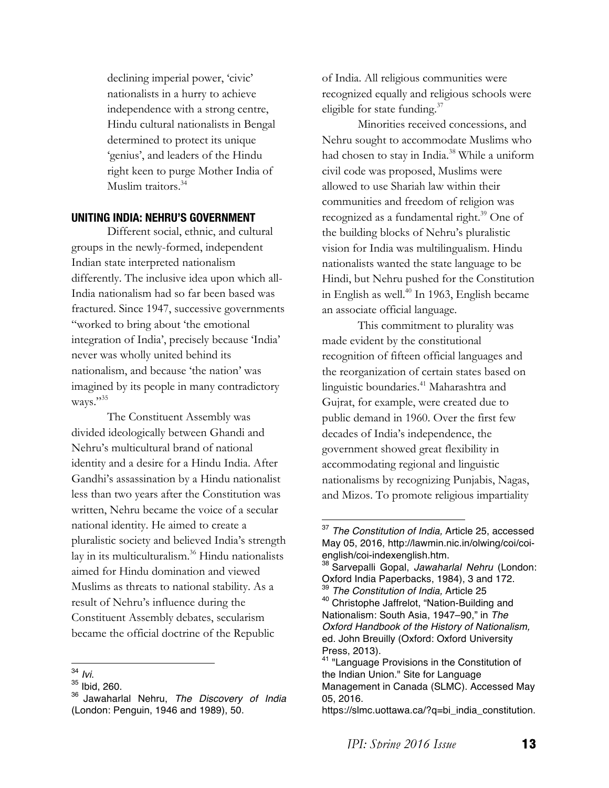declining imperial power, 'civic' nationalists in a hurry to achieve independence with a strong centre, Hindu cultural nationalists in Bengal determined to protect its unique 'genius', and leaders of the Hindu right keen to purge Mother India of Muslim traitors.<sup>34</sup>

### **UNITING INDIA: NEHRU'S GOVERNMENT**

Different social, ethnic, and cultural groups in the newly-formed, independent Indian state interpreted nationalism differently. The inclusive idea upon which all-India nationalism had so far been based was fractured. Since 1947, successive governments "worked to bring about 'the emotional integration of India', precisely because 'India' never was wholly united behind its nationalism, and because 'the nation' was imagined by its people in many contradictory ways."35

The Constituent Assembly was divided ideologically between Ghandi and Nehru's multicultural brand of national identity and a desire for a Hindu India. After Gandhi's assassination by a Hindu nationalist less than two years after the Constitution was written, Nehru became the voice of a secular national identity. He aimed to create a pluralistic society and believed India's strength lay in its multiculturalism.<sup>36</sup> Hindu nationalists aimed for Hindu domination and viewed Muslims as threats to national stability. As a result of Nehru's influence during the Constituent Assembly debates, secularism became the official doctrine of the Republic

of India. All religious communities were recognized equally and religious schools were eligible for state funding. $37$ 

Minorities received concessions, and Nehru sought to accommodate Muslims who had chosen to stay in India.<sup>38</sup> While a uniform civil code was proposed, Muslims were allowed to use Shariah law within their communities and freedom of religion was recognized as a fundamental right. $39$  One of the building blocks of Nehru's pluralistic vision for India was multilingualism. Hindu nationalists wanted the state language to be Hindi, but Nehru pushed for the Constitution in English as well. $40$  In 1963, English became an associate official language.

This commitment to plurality was made evident by the constitutional recognition of fifteen official languages and the reorganization of certain states based on linguistic boundaries.<sup>41</sup> Maharashtra and Gujrat, for example, were created due to public demand in 1960. Over the first few decades of India's independence, the government showed great flexibility in accommodating regional and linguistic nationalisms by recognizing Punjabis, Nagas, and Mizos. To promote religious impartiality

<sup>&</sup>lt;sup>34</sup> *Ivi*.<br><sup>35</sup> Ibid, 260.

<sup>36</sup> Jawaharlal Nehru, *The Discovery of India* (London: Penguin, 1946 and 1989), 50.

<sup>37</sup> *The Constitution of India,* Article 25, accessed May 05, 2016, http://lawmin.nic.in/olwing/coi/coienglish/coi-indexenglish.htm.

<sup>38</sup> Sarvepalli Gopal, *Jawaharlal Nehru* (London: Oxford India Paperbacks, 1984), 3 and 172. <sup>39</sup> *The Constitution of India,* Article 25

<sup>40</sup> Christophe Jaffrelot, "Nation-Building and Nationalism: South Asia, 1947–90," in *The Oxford Handbook of the History of Nationalism,*  ed. John Breuilly (Oxford: Oxford University Press, 2013).

<sup>41</sup> "Language Provisions in the Constitution of the Indian Union." Site for Language Management in Canada (SLMC). Accessed May 05, 2016.

https://slmc.uottawa.ca/?q=bi\_india\_constitution.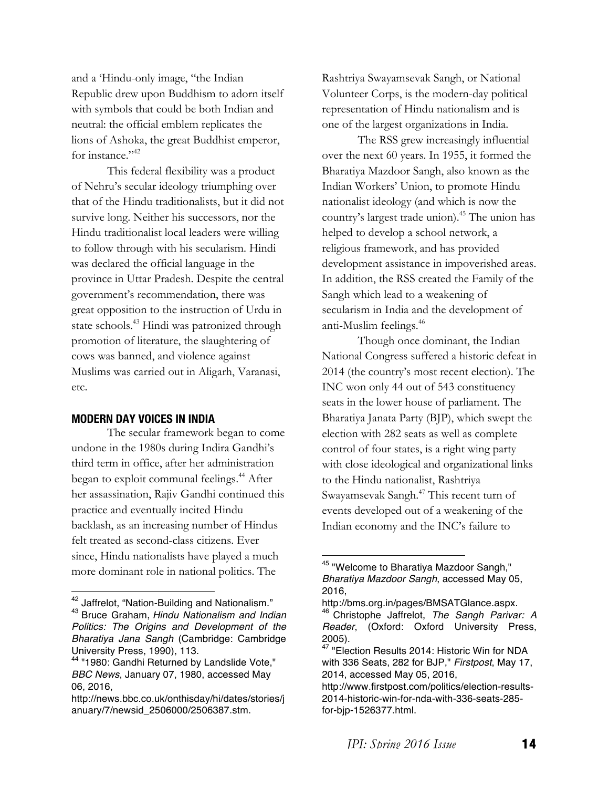and a 'Hindu-only image, "the Indian Republic drew upon Buddhism to adorn itself with symbols that could be both Indian and neutral: the official emblem replicates the lions of Ashoka, the great Buddhist emperor, for instance." <sup>42</sup>

This federal flexibility was a product of Nehru's secular ideology triumphing over that of the Hindu traditionalists, but it did not survive long. Neither his successors, nor the Hindu traditionalist local leaders were willing to follow through with his secularism. Hindi was declared the official language in the province in Uttar Pradesh. Despite the central government's recommendation, there was great opposition to the instruction of Urdu in state schools.<sup>43</sup> Hindi was patronized through promotion of literature, the slaughtering of cows was banned, and violence against Muslims was carried out in Aligarh, Varanasi, etc.

#### **MODERN DAY VOICES IN INDIA**

The secular framework began to come undone in the 1980s during Indira Gandhi's third term in office, after her administration began to exploit communal feelings.<sup>44</sup> After her assassination, Rajiv Gandhi continued this practice and eventually incited Hindu backlash, as an increasing number of Hindus felt treated as second-class citizens. Ever since, Hindu nationalists have played a much more dominant role in national politics. The

 

Rashtriya Swayamsevak Sangh, or National Volunteer Corps, is the modern-day political representation of Hindu nationalism and is one of the largest organizations in India.

The RSS grew increasingly influential over the next 60 years. In 1955, it formed the Bharatiya Mazdoor Sangh, also known as the Indian Workers' Union, to promote Hindu nationalist ideology (and which is now the country's largest trade union).45 The union has helped to develop a school network, a religious framework, and has provided development assistance in impoverished areas. In addition, the RSS created the Family of the Sangh which lead to a weakening of secularism in India and the development of anti-Muslim feelings.46

Though once dominant, the Indian National Congress suffered a historic defeat in 2014 (the country's most recent election). The INC won only 44 out of 543 constituency seats in the lower house of parliament. The Bharatiya Janata Party (BJP), which swept the election with 282 seats as well as complete control of four states, is a right wing party with close ideological and organizational links to the Hindu nationalist, Rashtriya Swayamsevak Sangh. <sup>47</sup> This recent turn of events developed out of a weakening of the Indian economy and the INC's failure to

<sup>&</sup>lt;sup>42</sup> Jaffrelot, "Nation-Building and Nationalism."

<sup>43</sup> Bruce Graham, *Hindu Nationalism and Indian Politics: The Origins and Development of the Bharatiya Jana Sangh* (Cambridge: Cambridge University Press, 1990), 113.

<sup>44</sup> "1980: Gandhi Returned by Landslide Vote," *BBC News*, January 07, 1980, accessed May 06, 2016,

http://news.bbc.co.uk/onthisday/hi/dates/stories/j anuary/7/newsid\_2506000/2506387.stm.

<sup>45 &</sup>quot;Welcome to Bharatiya Mazdoor Sangh," *Bharatiya Mazdoor Sangh*, accessed May 05, 2016,

http://bms.org.in/pages/BMSATGlance.aspx. <sup>46</sup> Christophe Jaffrelot, *The Sangh Parivar: A Reader*, (Oxford: Oxford University Press, 2005).

<sup>&</sup>lt;sup>47</sup> "Election Results 2014: Historic Win for NDA with 336 Seats, 282 for BJP," *Firstpost*, May 17, 2014, accessed May 05, 2016,

http://www.firstpost.com/politics/election-results-2014-historic-win-for-nda-with-336-seats-285 for-bjp-1526377.html.